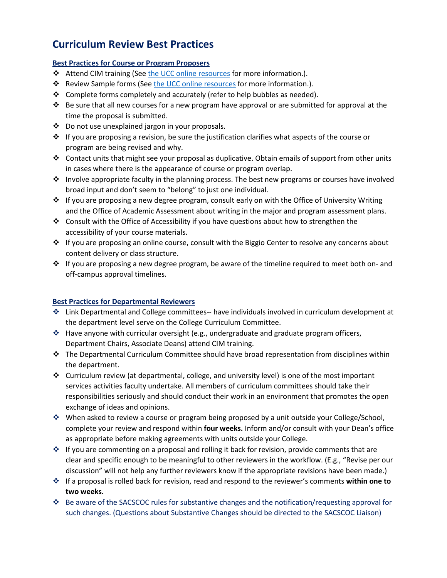# **Curriculum Review Best Practices**

## **Best Practices for Course or Program Proposers**

- **↓** Attend CIM training (Se[e the UCC online resources](http://ous.auburn.edu/wp-content/uploads/CIM-Training-Materials-rev201500904.pdf) for more information.).
- \* Review Sample forms (See [the UCC online resources](http://ous.auburn.edu/wp-content/uploads/CIM-Training-Materials-rev201500904.pdf) for more information.).
- $\div$  Complete forms completely and accurately (refer to help bubbles as needed).
- $\cdot \cdot$  Be sure that all new courses for a new program have approval or are submitted for approval at the time the proposal is submitted.
- Do not use unexplained jargon in your proposals.
- $\cdot \cdot$  If you are proposing a revision, be sure the justification clarifies what aspects of the course or program are being revised and why.
- $\div$  Contact units that might see your proposal as duplicative. Obtain emails of support from other units in cases where there is the appearance of course or program overlap.
- $\cdot \cdot$  Involve appropriate faculty in the planning process. The best new programs or courses have involved broad input and don't seem to "belong" to just one individual.
- $\cdot \cdot$  If you are proposing a new degree program, consult early on with the Office of University Writing and the Office of Academic Assessment about writing in the major and program assessment plans.
- Consult with the Office of Accessibility if you have questions about how to strengthen the accessibility of your course materials.
- $\cdot \cdot$  If you are proposing an online course, consult with the Biggio Center to resolve any concerns about content delivery or class structure.
- $\div$  If you are proposing a new degree program, be aware of the timeline required to meet both on- and off-campus approval timelines.

# **Best Practices for Departmental Reviewers**

- Link Departmental and College committees-- have individuals involved in curriculum development at the department level serve on the College Curriculum Committee.
- $\cdot \cdot$  Have anyone with curricular oversight (e.g., undergraduate and graduate program officers, Department Chairs, Associate Deans) attend CIM training.
- $\cdot \cdot$  The Departmental Curriculum Committee should have broad representation from disciplines within the department.
- Curriculum review (at departmental, college, and university level) is one of the most important services activities faculty undertake. All members of curriculum committees should take their responsibilities seriously and should conduct their work in an environment that promotes the open exchange of ideas and opinions.
- When asked to review a course or program being proposed by a unit outside your College/School, complete your review and respond within **four weeks.** Inform and/or consult with your Dean's office as appropriate before making agreements with units outside your College.
- ❖ If you are commenting on a proposal and rolling it back for revision, provide comments that are clear and specific enough to be meaningful to other reviewers in the workflow. (E.g., "Revise per our discussion" will not help any further reviewers know if the appropriate revisions have been made.)
- If a proposal is rolled back for revision, read and respond to the reviewer's comments **within one to two weeks.**
- Be aware of the SACSCOC rules for substantive changes and the notification/requesting approval for such changes. (Questions about Substantive Changes should be directed to the SACSCOC Liaison)